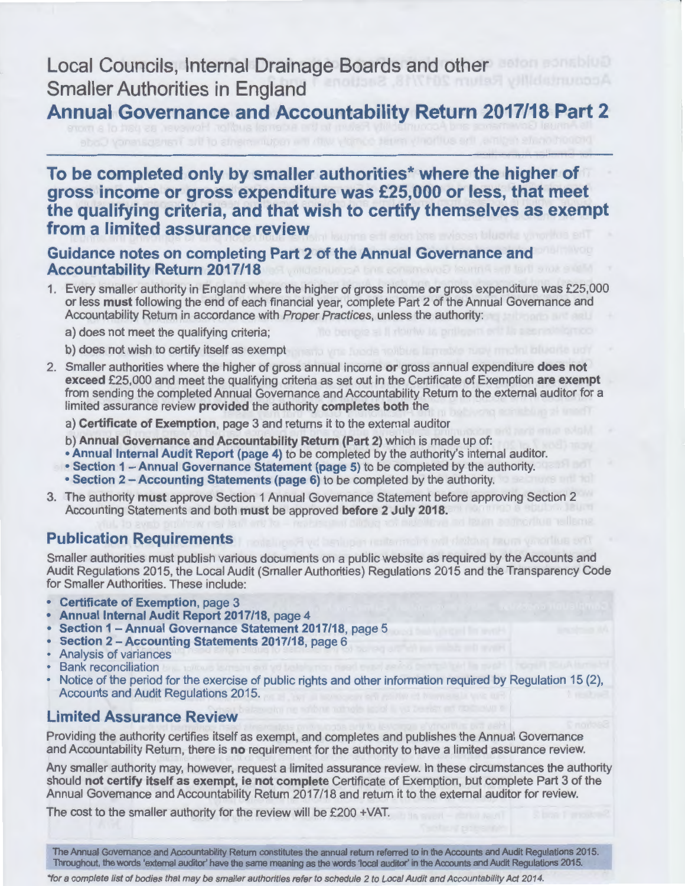**Local Councils, Internal Drainage Boards and other Smaller Authorities in England** 

**Annual Governance and Accountability Return 2017/18 Part 2** 

# **To be completed only by smaller authorities\* where the higher of gross income or gross expenditure was £25,000 or less, that meet the qualifying criteria, and that wish to certify themselves as exempt from a limited assurance review**

#### **Guidance notes on completing Part 2 of the Annual Governance and Accountability Return 2017/18**

- 1. Every smaller authority in England where the higher of gross income **or** gross expenditure was £25,000 or less **must** following the end of each financial year, complete Part 2 of the Annual Governance and Accountability Return in accordance with Proper Practices, unless the authority:
	- a) does not meet the qualifying criteria;
	- b) does not wish to certify itself as exempt
- 2. Smaller authorities where the higher of gross annual income **or** gross annual expenditure **does not exceed** £25,000 and meet the qualifying criteria as set out in the Certificate of Exemption **are exempt**  from sending the completed Annual Governance and Accountability Return to the external auditor for a limited assurance review **provided** the authority **completes both** the
	- a) **Certificate of Exemption,** page 3 and returns it to the external auditor
	- b) **Annual Governance and Accountability Return (Part 2)** which is made up of:
	- **Annual Internal Audit Report (page 4)** to be completed by the authority's internal auditor.
	- **Section 1 - Annual Governance Statement (page 5)** to be completed by the authority.
	- **Section 2 - Accounting Statements (page 6)** to be completed by the authority.
- 3. The authority **must** approve Section 1 Annual Governance Statement before approving Section 2 Accounting Statements and both **must** be approved **before 2 July 2018.**

### **Publication Requirements**

Smaller authorities must publish various documents on a public website as required by the Accounts and Audit Regulations 2015, the Local Audit (Smaller Authorities) Regulations 2015 and the Transparency Code for Smaller Authorities. These include:

- **Certificate of Exemption,** page 3
- **Annual Internal Audit Report 2017/18,** page 4
- **Section 1 -Annual Governance Statement 2017/18,** page 5
- **Section 2 -Accounting Statements 2017/18,** page 6
- Analysis of variances
- **Bank reconciliation**
- Notice of the period for the exercise of public rights and other information required by Regulation 15 (2), Accounts and Audit Regulations 2015.

#### **Limited Assurance Review**

Providing the authority certifies itself as exempt, and completes and publishes the Annual Governance and Accountability Return, there is **no** requirement for the authority to have a limited assurance review.

Any smaller authority may, however, request a limited assurance review. In these circumstances the authority should **not certify itself as exempt, ie not complete** Certificate of Exemption, but complete Part 3 of the Annual Governance and Accountability Return 2017/18 and return it to the external auditor for review.

The cost to the smaller authority for the review will be £200 +VAT.

The Annual Governance and Accountability Return constitutes the annual return referred to in the Accounts and Audit Regulations 2015.<br>Throughout, the words 'external auditor' have the same meaning as the words 'local audit Throughout, the words 'external auditor' have the same meaning as the words 'local auditor' in the Accounts and Audit Regulations 2015.

•tor a complete list of bodies that may be smaller authorities refer to schedule 2 to Local Audit and Accountability Act 2014.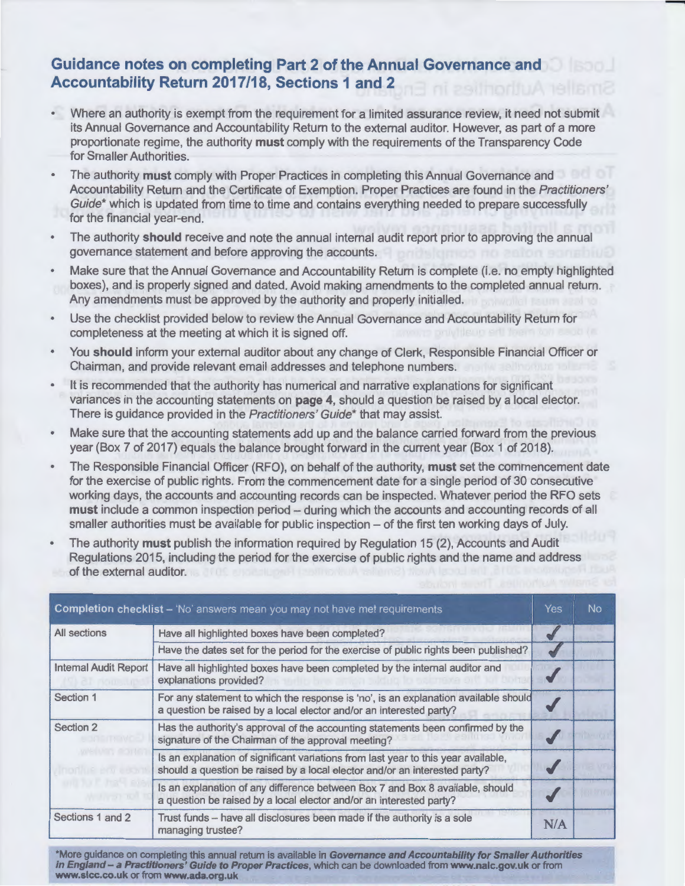# **Guidance notes on completing Part 2 of the Annual Governance and Accountability Return 2017/18, Sections 1 and 2**

• Where an authority is exempt from the requirement for a limited assurance review, it need not submit its Annual Governance and Accountability Return to the external auditor. However, as part of a more proportionate regime, the authority **must** comply with the requirements of the Transparency Code for Smaller Authorities.

-

- The authority **must** comply with Proper Practices in completing this Annual Governance and Accountability Return and the Certificate of Exemption. Proper Practices are found in the Practitioners' Guide\* which is updated from time to time and contains everything needed to prepare successfully for the financial year-end.
- The authority **should** receive and note the annual internal audit report prior to approving the annual governance statement and before approving the accounts.
- Make sure that the Annual Governance and Accountability Return is complete (i.e. no empty highlighted boxes), and is properly signed and dated. Avoid making amendments to the completed annual return. Any amendments must be approved by the authority and properly initialled.
- Use the checklist provided below to review the Annual Governance and Accountability Return for completeness at the meeting at which it is signed off.
- You **should** inform your external auditor about any change of Clerk, Responsible Financial Officer or Chairman, and provide relevant email addresses and telephone numbers.
- It is recommended that the authority has numerical and narrative explanations for significant  $\bullet$ variances in the accounting statements on **page 4,** should a question be raised by a local elector. There is guidance provided in the Practitioners' Guide\* that may assist.
- Make sure that the accounting statements add up and the balance carried forward from the previous year (Box 7 of 2017) equals the balance brought forward in the current year (Box 1 of 2018).
- The Responsible Financial Officer (RFO), on behalf of the authority, **must** set the commencement date for the exercise of public rights. From the commencement date for a single period of 30 consecutive working days, the accounts and accounting records can be inspected. Whatever period the RFO sets must include a common inspection period - during which the accounts and accounting records of all smaller authorities must be available for public inspection - of the first ten working days of July.
- The authority **must** publish the information required by Regulation 15 (2), Accounts and Audit Regulations 2015, including the period for the exercise of public rights and the name and address of the external auditor.

|                              | <b>Completion checklist</b> – 'No' answers mean you may not have met requirements                                                                                | Yes | No |
|------------------------------|------------------------------------------------------------------------------------------------------------------------------------------------------------------|-----|----|
| All sections                 | Have all highlighted boxes have been completed?                                                                                                                  |     |    |
|                              | Have the dates set for the period for the exercise of public rights been published?                                                                              |     |    |
| <b>Internal Audit Report</b> | Have all highlighted boxes have been completed by the internal auditor and<br>explanations provided?                                                             |     |    |
| Section 1                    | For any statement to which the response is 'no', is an explanation available should<br>a question be raised by a local elector and/or an interested party?       |     |    |
| Section 2                    | Has the authority's approval of the accounting statements been confirmed by the<br>signature of the Chairman of the approval meeting?                            |     |    |
|                              | Is an explanation of significant variations from last year to this year available,<br>should a question be raised by a local elector and/or an interested party? |     |    |
|                              | Is an explanation of any difference between Box 7 and Box 8 available, should<br>a question be raised by a local elector and/or an interested party?             |     |    |
| Sections 1 and 2             | Trust funds -- have all disclosures been made if the authority is a sole<br>managing trustee?                                                                    | N/A |    |

\*More guidance on completing this annual return is available in **Governance and Accountability for Smaller Authorities in England- a Practitioners' Guide to Proper Practices,** which can be downloaded from **www.nalc.gov.uk** or from **www.slcc.co.uk** or from **www.ada.org.uk**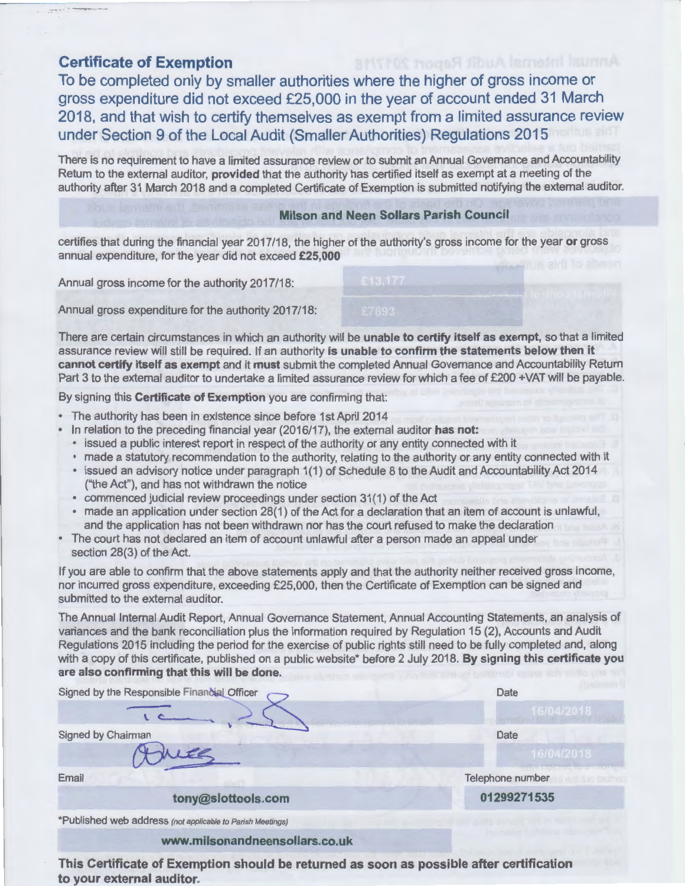## **Certificate of Exemption**

To be completed only by smaller authorities where the higher of gross income or gross expenditure did not exceed £25,000 in the year of account ended 31 March 2018, and that wish to certify themselves as exempt from a limited assurance review under Section 9 of the Local Audit (Smaller Authorities) Regulations 2015

There is no requirement to have a limited assurance review or to submit an Annual Governance and Accountability Return to the external auditor, **provided** that the authority has certified itself as exempt at a meeting of the authority after 31 March 2018 and a completed Certificate of Exemption is submitted notifying the external auditor.

#### **Milson and Neen Sollars Parish Council**

certifies that during the financial year 2017 /18, the higher of the authority's gross income for the year **or** gross annual expenditure, for the year did not exceed **£25,000** 

Annual gross income for the authority 2017/18:

Annual gross expenditure for the authority 2017/18:

There are certain circumstances in which an authority will be **unable to certify itself as exempt,** so that a limited assurance review will still be required. If an authority **is unable to confirm the statements below then it cannot certify itself as exempt** and it **must** submit the completed Annual Governance and Accountability Return Part 3 to the external auditor to undertake a limited assurance review for which a fee of £200 +VAT will be payable.

By signing this **Certificate of Exemption** you are confirming that:

- The authority has been in existence since before 1st April 2014
- In relation to the preceding financial year (2016/17), the external auditor **has not:** 
	- issued a public interest report in respect of the authority or any entity connected with it
	- made a statutory recommendation to the authority, relating to the authority or any entity connected with it
	- issued an advisory notice under paragraph 1(1) of Schedule 8 to the Audit and Accountability Act 2014 ("the Act"), and has not withdrawn the notice
	- commenced judicial review proceedings under section 31(1) of the Act
- made an application under section 28(1) of the Act for a declaration that an item of account is unlawful, and the application has not been withdrawn nor has the court refused to make the declaration
- The court has not declared an item of account unlawful after a person made an appeal under section 28(3) of the Act.

If you are able to confirm that the above statements apply and that the authority neither received gross income, nor incurred gross expenditure, exceeding £25,000, then the Certificate of Exemption can be signed and submitted to the external auditor.

The Annual Internal Audit Report, Annual Governance Statement, Annual Accounting Statements, an analysis of variances and the bank reconciliation plus the information required by Regulation 15 (2), Accounts and Audit Regulations 2015 including the period for the exercise of public rights still need to be fully completed and, along with a copy of this certificate, published on a public website\* before 2 July 2018. **By signing this certificate you are also confirming that this will be done.** 

| Signed by the Responsible Financial Officer                | Date             |  |  |
|------------------------------------------------------------|------------------|--|--|
|                                                            |                  |  |  |
| Signed by Chairman                                         | Date             |  |  |
|                                                            | 16/04/2018       |  |  |
| Email<br><b>CONTRACTOR</b>                                 | Telephone number |  |  |
| tony@slottools.com                                         | 01299271535      |  |  |
| *Published web address (not applicable to Parish Meetings) |                  |  |  |
| www.milsonandneensollars.co.uk                             |                  |  |  |

This Certificate of Exemption should be returned as soon as possible after certification to your external auditor.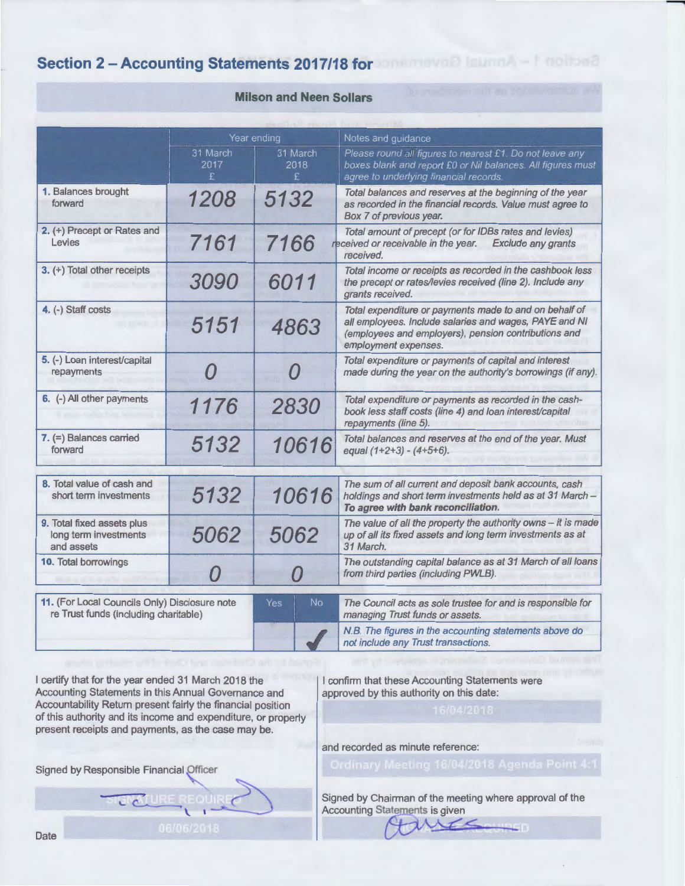# **Section 2 - Accounting Statements 2017/18 for an american learned - I noticed**

| <b>Milson and Neen Sollars</b> |  |
|--------------------------------|--|
|--------------------------------|--|

|                                                                                        | Year ending            |                        | Notes and guidance                                                                                                                                                                               |  |  |  |
|----------------------------------------------------------------------------------------|------------------------|------------------------|--------------------------------------------------------------------------------------------------------------------------------------------------------------------------------------------------|--|--|--|
|                                                                                        | 31 March<br>2017<br>£. | 31 March<br>2018<br>£. | Please round all figures to nearest £1. Do not leave any<br>boxes blank and report £0 or Nil balances. All figures must<br>agree to underlying financial records.                                |  |  |  |
| 1. Balances brought<br>forward                                                         | 1208                   | 5132                   | Total balances and reserves at the beginning of the year<br>as recorded in the financial records. Value must agree to<br>Box 7 of previous year.                                                 |  |  |  |
| 2. (+) Precept or Rates and<br>Levies                                                  | 7161                   | 7166                   | Total amount of precept (or for IDBs rates and levies)<br>received or receivable in the year.<br><b>Exclude any grants</b><br>received.                                                          |  |  |  |
| 3. (+) Total other receipts                                                            | 3090                   | 6011                   | Total income or receipts as recorded in the cashbook less<br>the precept or rates/levies received (line 2). Include any<br>grants received.                                                      |  |  |  |
| 4. (-) Staff costs                                                                     | 5151                   | 4863                   | Total expenditure or payments made to and on behalf of<br>all employees. Include salaries and wages, PAYE and NI<br>(employees and employers), pension contributions and<br>employment expenses. |  |  |  |
| 5. (-) Loan interest/capital<br>repayments                                             | O                      | $\boldsymbol{\Omega}$  | Total expenditure or payments of capital and interest<br>made during the year on the authority's borrowings (if any).                                                                            |  |  |  |
| 6. (-) All other payments                                                              | 1176                   | 2830                   | Total expenditure or payments as recorded in the cash-<br>book less staff costs (line 4) and loan interest/capital<br>repayments (line 5).                                                       |  |  |  |
| $7.$ (=) Balances carried<br>forward                                                   | 5132                   | 10616                  | Total balances and reserves at the end of the year. Must<br>equal (1+2+3) - (4+5+6).                                                                                                             |  |  |  |
| 8. Total value of cash and<br>short term investments                                   | 5132                   | 10616                  | The sum of all current and deposit bank accounts, cash<br>holdings and short term investments held as at 31 March -<br>To agree with bank reconciliation.                                        |  |  |  |
| 9. Total fixed assets plus<br>long term investments<br>and assets                      | 5062                   | 5062                   | The value of all the property the authority owns - it is made<br>up of all its fixed assets and long term investments as at<br>31 March.                                                         |  |  |  |
| 10. Total borrowings                                                                   |                        | 0                      | The outstanding capital balance as at 31 March of all loans<br>from third parties (including PWLB).                                                                                              |  |  |  |
| 11. (For Local Councils Only) Disclosure note<br>re Trust funds (including charitable) |                        | <b>No</b><br>Yes.      | The Council acts as sole trustee for and is responsible for<br>managing Trust funds or assets.                                                                                                   |  |  |  |
|                                                                                        |                        |                        | N.B. The figures in the accounting statements above do<br>not include any Trust transactions.                                                                                                    |  |  |  |

I certify that for the year ended 31 March 2018 the Accounting Statements in this Annual Governance and Accountability Return present fairly the financial position of this authority and its income and expenditure, or property present receipts and payments, as the case may be.

I confirm that these Accounting Statements were approved by this authority on this date:

and recorded as minute reference:

Signed by Responsible Financial Officer

 $c$  .  $c$  .

Signed by Chairman of the meeting where approval of the Accounting Statements is given KER

Date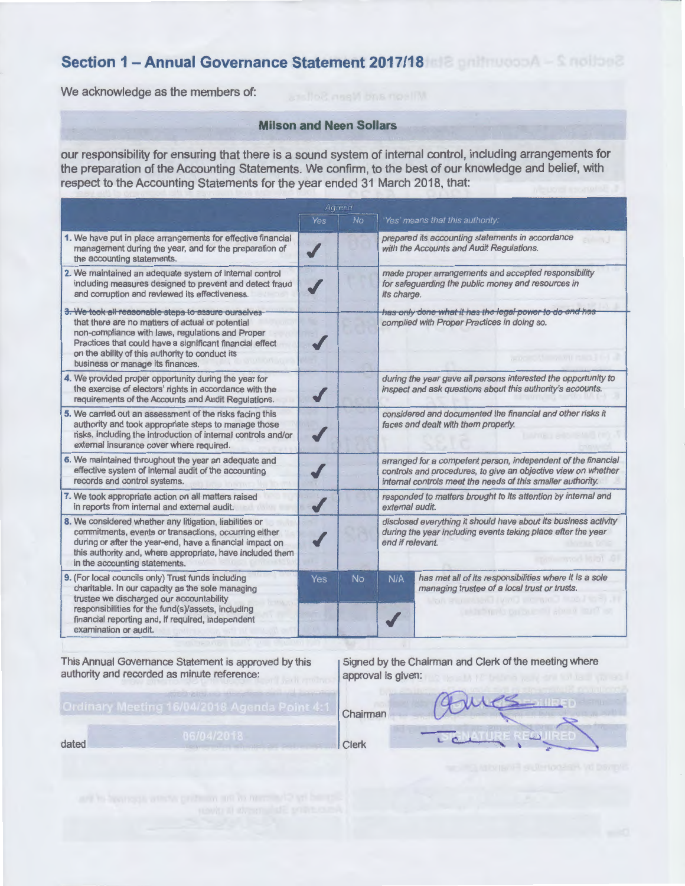# **Section 1 - Annual Governance Statement 2017/18 <b>All and Thursdate Strategy**

We acknowledge as the members of:

#### **Milson and Neen Sollars**

our responsibility for ensuring that there is a sound system of internal control, including arrangements for respect to the Accounting Statements for the year ended 31 March 2018, that:

| the preparation of the Accounting Statements. We confirm, to the best of our knowledge and belief, with<br>respect to the Accounting Statements for the year ended 31 March 2018, that:                                                                                                                        |     |           |                                                                                                                                                                                               |                                                                                                        |  |
|----------------------------------------------------------------------------------------------------------------------------------------------------------------------------------------------------------------------------------------------------------------------------------------------------------------|-----|-----------|-----------------------------------------------------------------------------------------------------------------------------------------------------------------------------------------------|--------------------------------------------------------------------------------------------------------|--|
| Agreed                                                                                                                                                                                                                                                                                                         |     |           |                                                                                                                                                                                               |                                                                                                        |  |
|                                                                                                                                                                                                                                                                                                                | Yes | <b>No</b> |                                                                                                                                                                                               | Yes' means that this authority:                                                                        |  |
| 1. We have put in place arrangements for effective financial<br>management during the year, and for the preparation of<br>the accounting statements.                                                                                                                                                           |     |           |                                                                                                                                                                                               | prepared its accounting statements in accordance<br>with the Accounts and Audit Regulations.           |  |
| 2. We maintained an adequate system of internal control<br>including measures designed to prevent and detect fraud<br>and corruption and reviewed its effectiveness.                                                                                                                                           |     |           | made proper arrangements and accepted responsibility<br>for safeguarding the public money and resources in<br>its charge.                                                                     |                                                                                                        |  |
| 3. We took all reasonable steps to assure ourselves<br>that there are no matters of actual or potential<br>non-compliance with laws, regulations and Proper<br>Practices that could have a significant financial effect<br>on the ability of this authority to conduct its<br>business or manage its finances. |     |           | has only done what it has the legal power to do and has<br>complied with Proper Practices in doing so.                                                                                        |                                                                                                        |  |
| 4. We provided proper opportunity during the year for<br>the exercise of electors' rights in accordance with the<br>requirements of the Accounts and Audit Regulations.                                                                                                                                        |     |           | during the year gave all persons interested the opportunity to<br>inspect and ask questions about this authority's accounts.                                                                  |                                                                                                        |  |
| 5. We carried out an assessment of the risks facing this<br>authority and took appropriate steps to manage those<br>risks, including the introduction of internal controls and/or<br>external insurance cover where required.                                                                                  |     |           | considered and documented the financial and other risks it<br>faces and dealt with them properly.                                                                                             |                                                                                                        |  |
| 6. We maintained throughout the year an adequate and<br>effective system of internal audit of the accounting<br>records and control systems.                                                                                                                                                                   |     |           | arranged for a competent person, independent of the financial<br>controls and procedures, to give an objective view on whether<br>internal controls meet the needs of this smaller authority. |                                                                                                        |  |
| 7. We took appropriate action on all matters raised<br>in reports from internal and external audit.                                                                                                                                                                                                            |     |           | responded to matters brought to its attention by internal and<br>external audit.                                                                                                              |                                                                                                        |  |
| 8. We considered whether any litigation, liabilities or<br>commitments, events or transactions, occurring either<br>during or after the year-end, have a financial impact on<br>this authority and, where appropriate, have included them<br>in the accounting statements.                                     |     |           | disclosed everything it should have about its business activity<br>during the year including events taking place after the year<br>end if relevant.                                           |                                                                                                        |  |
| 9. (For local councils only) Trust funds including<br>charitable. In our capacity as the sole managing<br>trustee we discharged our accountability<br>responsibilities for the fund(s)/assets, including<br>financial reporting and, if required, independent<br>examination or audit.                         | Yes | No.       | N/A                                                                                                                                                                                           | has met all of its responsibilities where it is a sole<br>managing trustee of a local trust or trusts. |  |

This Annual Governance Statement is approved by this authority and recorded as minute reference:

dated Clerk

Signed by the Chairman and Clerk of the meeting where approval is given:

Chairman

WAN A